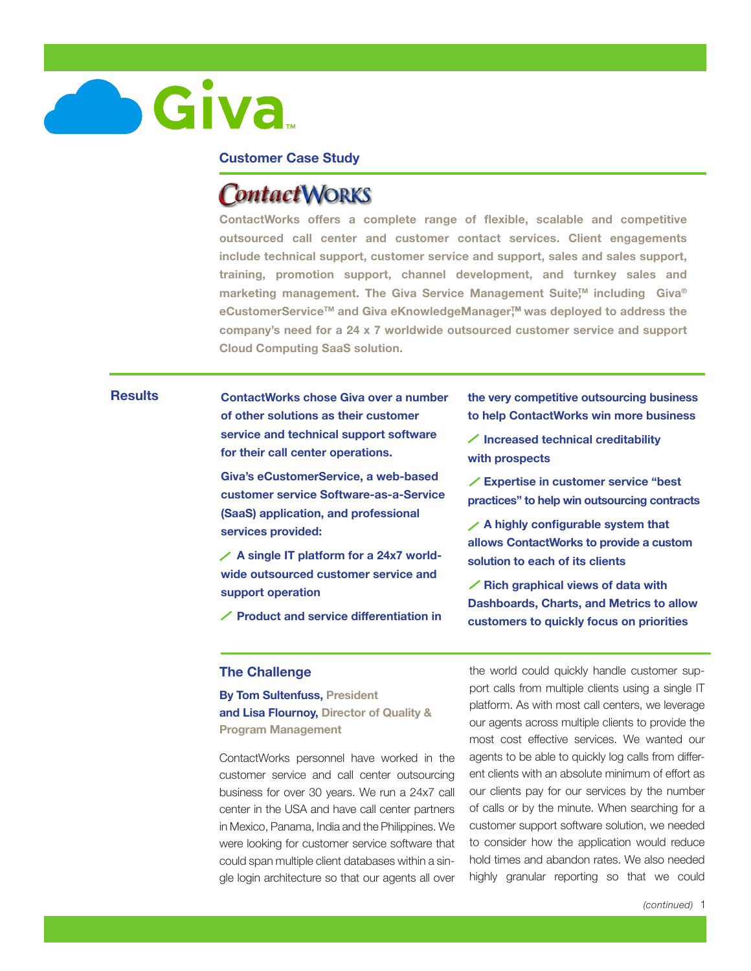

## **Customer Case Study**

# **ContactWORKS**

**ContactWorks offers a complete range of flexible, scalable and competitive outsourced call center and customer contact services. Client engagements include technical support, customer service and support, sales and sales support, training, promotion support, channel development, and turnkey sales and marketing management. The Giva Service Management Suite,TM including Giva®** eCustomerService<sup>™</sup> and Giva eKnowledgeManager<sup>™</sup> was deployed to address the **company's need for a 24 x 7 worldwide outsourced customer service and support Cloud Computing SaaS solution.** 

# **Results**

**ContactWorks chose Giva over a number of other solutions as their customer service and technical support software for their call center operations.** 

**Giva's eCustomerService, a web-based customer service Software-as-a-Service (SaaS) application, and professional services provided:**

**A single IT platform for a 24x7 worldwide outsourced customer service and support operation** 

**Product and service differentiation in** 

**the very competitive outsourcing business to help ContactWorks win more business** 

**Increased technical creditability with prospects** 

**Expertise in customer service "best practices" to help win outsourcing contracts** 

**A highly configurable system that allows ContactWorks to provide a custom solution to each of its clients**

**Rich graphical views of data with Dashboards, Charts, and Metrics to allow customers to quickly focus on priorities**

#### **The Challenge**

**By Tom Sultenfuss, President and Lisa Flournoy, Director of Quality & Program Management**

ContactWorks personnel have worked in the customer service and call center outsourcing business for over 30 years. We run a 24x7 call center in the USA and have call center partners in Mexico, Panama, India and the Philippines. We were looking for customer service software that could span multiple client databases within a single login architecture so that our agents all over

the world could quickly handle customer support calls from multiple clients using a single IT platform. As with most call centers, we leverage our agents across multiple clients to provide the most cost effective services. We wanted our agents to be able to quickly log calls from different clients with an absolute minimum of effort as our clients pay for our services by the number of calls or by the minute. When searching for a customer support software solution, we needed to consider how the application would reduce hold times and abandon rates. We also needed highly granular reporting so that we could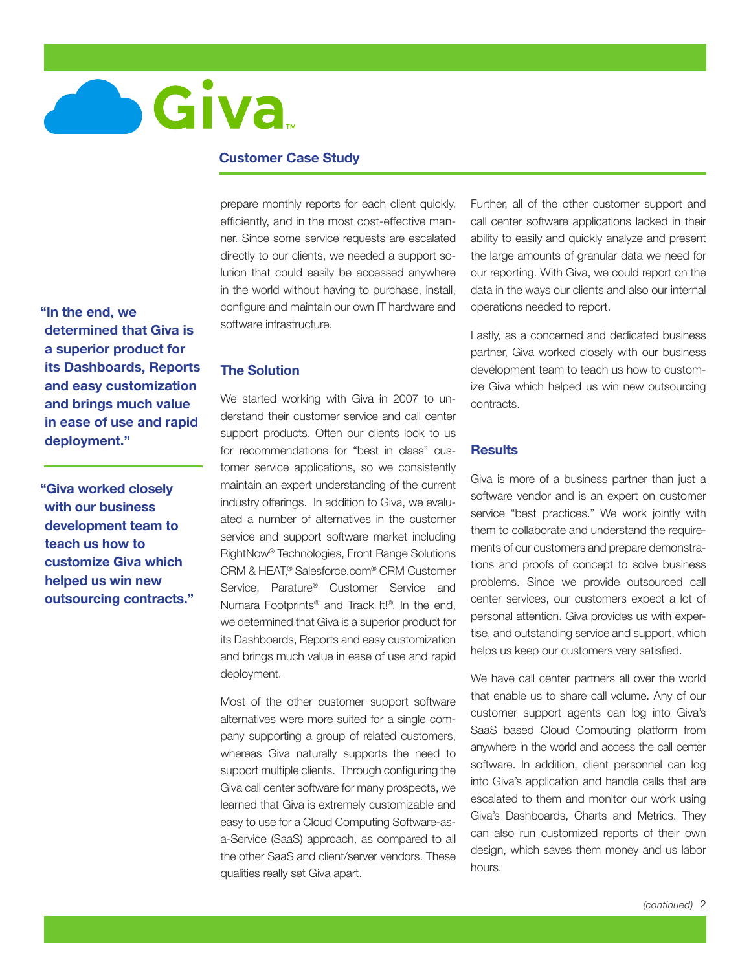

## **Customer Case Study**

**"In the end, we determined that Giva is a superior product for its Dashboards, Reports and easy customization and brings much value in ease of use and rapid deployment."** 

**"Giva worked closely with our business development team to teach us how to customize Giva which helped us win new outsourcing contracts."** prepare monthly reports for each client quickly, efficiently, and in the most cost-effective manner. Since some service requests are escalated directly to our clients, we needed a support solution that could easily be accessed anywhere in the world without having to purchase, install, configure and maintain our own IT hardware and software infrastructure.

# **The Solution**

We started working with Giva in 2007 to understand their customer service and call center support products. Often our clients look to us for recommendations for "best in class" customer service applications, so we consistently maintain an expert understanding of the current industry offerings. In addition to Giva, we evaluated a number of alternatives in the customer service and support software market including RightNow® Technologies, Front Range Solutions CRM & HEAT,® Salesforce.com® CRM Customer Service, Parature® Customer Service and Numara Footprints® and Track It!®. In the end, we determined that Giva is a superior product for its Dashboards, Reports and easy customization and brings much value in ease of use and rapid deployment.

Most of the other customer support software alternatives were more suited for a single company supporting a group of related customers, whereas Giva naturally supports the need to support multiple clients. Through configuring the Giva call center software for many prospects, we learned that Giva is extremely customizable and easy to use for a Cloud Computing Software-asa-Service (SaaS) approach, as compared to all the other SaaS and client/server vendors. These qualities really set Giva apart.

Further, all of the other customer support and call center software applications lacked in their ability to easily and quickly analyze and present the large amounts of granular data we need for our reporting. With Giva, we could report on the data in the ways our clients and also our internal operations needed to report.

Lastly, as a concerned and dedicated business partner, Giva worked closely with our business development team to teach us how to customize Giva which helped us win new outsourcing contracts.

#### **Results**

Giva is more of a business partner than just a software vendor and is an expert on customer service "best practices." We work jointly with them to collaborate and understand the requirements of our customers and prepare demonstrations and proofs of concept to solve business problems. Since we provide outsourced call center services, our customers expect a lot of personal attention. Giva provides us with expertise, and outstanding service and support, which helps us keep our customers very satisfied.

We have call center partners all over the world that enable us to share call volume. Any of our customer support agents can log into Giva's SaaS based Cloud Computing platform from anywhere in the world and access the call center software. In addition, client personnel can log into Giva's application and handle calls that are escalated to them and monitor our work using Giva's Dashboards, Charts and Metrics. They can also run customized reports of their own design, which saves them money and us labor hours.